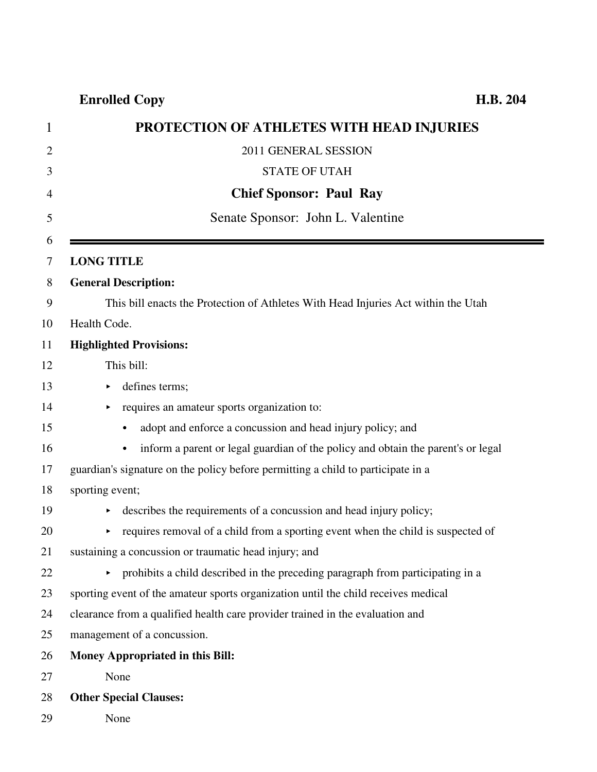**Enrolled Copy H.B. 204**

| 1              | PROTECTION OF ATHLETES WITH HEAD INJURIES                                             |
|----------------|---------------------------------------------------------------------------------------|
| $\overline{2}$ | 2011 GENERAL SESSION                                                                  |
| 3              | <b>STATE OF UTAH</b>                                                                  |
| $\overline{4}$ | <b>Chief Sponsor: Paul Ray</b>                                                        |
| 5              | Senate Sponsor: John L. Valentine                                                     |
| 6              |                                                                                       |
| 7              | <b>LONG TITLE</b>                                                                     |
| 8              | <b>General Description:</b>                                                           |
| 9              | This bill enacts the Protection of Athletes With Head Injuries Act within the Utah    |
| 10             | Health Code.                                                                          |
| 11             | <b>Highlighted Provisions:</b>                                                        |
| 12             | This bill:                                                                            |
| 13             | defines terms;<br>▶                                                                   |
| 14             | requires an amateur sports organization to:                                           |
| 15             | adopt and enforce a concussion and head injury policy; and<br>$\bullet$               |
| 16             | inform a parent or legal guardian of the policy and obtain the parent's or legal<br>٠ |
| 17             | guardian's signature on the policy before permitting a child to participate in a      |
| 18             | sporting event;                                                                       |
| 19             | describes the requirements of a concussion and head injury policy;                    |
| 20             | requires removal of a child from a sporting event when the child is suspected of      |
| 21             | sustaining a concussion or traumatic head injury; and                                 |
| 22             | • prohibits a child described in the preceding paragraph from participating in a      |
| 23             | sporting event of the amateur sports organization until the child receives medical    |
| 24             | clearance from a qualified health care provider trained in the evaluation and         |
| 25             | management of a concussion.                                                           |
| 26             | Money Appropriated in this Bill:                                                      |
| 27             | None                                                                                  |
| 28             | <b>Other Special Clauses:</b>                                                         |
| 29             | None                                                                                  |

.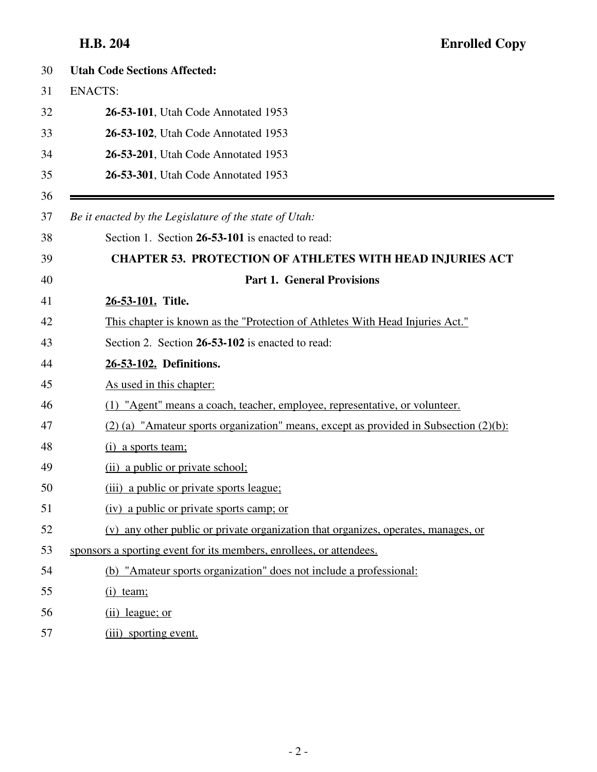| 30 | <b>Utah Code Sections Affected:</b>                                                        |
|----|--------------------------------------------------------------------------------------------|
| 31 | <b>ENACTS:</b>                                                                             |
| 32 | 26-53-101, Utah Code Annotated 1953                                                        |
| 33 | 26-53-102, Utah Code Annotated 1953                                                        |
| 34 | 26-53-201, Utah Code Annotated 1953                                                        |
| 35 | 26-53-301, Utah Code Annotated 1953                                                        |
| 36 |                                                                                            |
| 37 | Be it enacted by the Legislature of the state of Utah:                                     |
| 38 | Section 1. Section 26-53-101 is enacted to read:                                           |
| 39 | <b>CHAPTER 53. PROTECTION OF ATHLETES WITH HEAD INJURIES ACT</b>                           |
| 40 | <b>Part 1. General Provisions</b>                                                          |
| 41 | 26-53-101. Title.                                                                          |
| 42 | This chapter is known as the "Protection of Athletes With Head Injuries Act."              |
| 43 | Section 2. Section 26-53-102 is enacted to read:                                           |
| 44 | 26-53-102. Definitions.                                                                    |
| 45 | As used in this chapter:                                                                   |
| 46 | (1) "Agent" means a coach, teacher, employee, representative, or volunteer.                |
| 47 | $(2)$ (a) "Amateur sports organization" means, except as provided in Subsection $(2)(b)$ : |
| 48 | (i) a sports team;                                                                         |
| 49 | (ii) a public or private school;                                                           |
| 50 | (iii) a public or private sports league;                                                   |
| 51 | (iv) a public or private sports camp; or                                                   |
| 52 | (v) any other public or private organization that organizes, operates, manages, or         |
| 53 | sponsors a sporting event for its members, enrollees, or attendees.                        |
| 54 | (b) "Amateur sports organization" does not include a professional:                         |
| 55 | $(i)$ team;                                                                                |
| 56 | $(ii)$ league; or                                                                          |
| 57 | (iii) sporting event.                                                                      |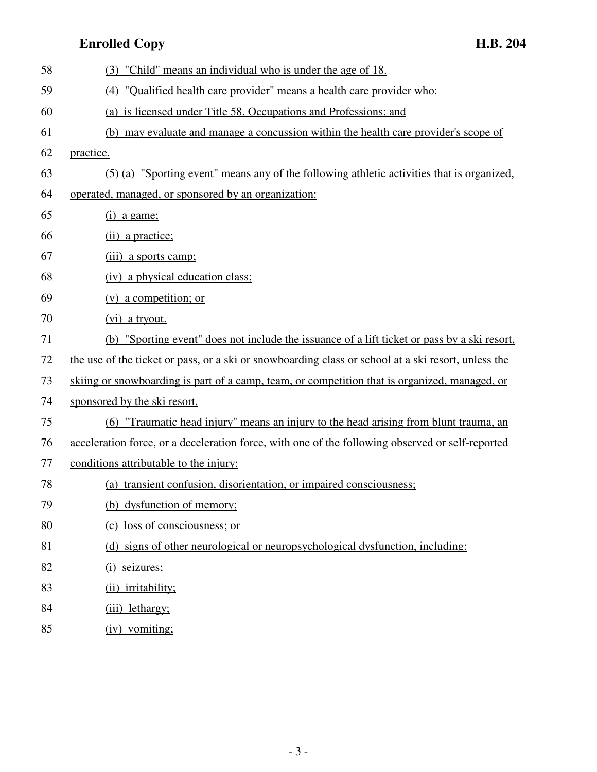## **Enrolled Copy H.B. 204**

| 58 | (3) "Child" means an individual who is under the age of 18.                                         |
|----|-----------------------------------------------------------------------------------------------------|
| 59 | (4) "Qualified health care provider" means a health care provider who:                              |
| 60 | (a) is licensed under Title 58, Occupations and Professions; and                                    |
| 61 | (b) may evaluate and manage a concussion within the health care provider's scope of                 |
| 62 | practice.                                                                                           |
| 63 | (5) (a) "Sporting event" means any of the following athletic activities that is organized,          |
| 64 | operated, managed, or sponsored by an organization:                                                 |
| 65 | $(i)$ a game;                                                                                       |
| 66 | (ii) a practice;                                                                                    |
| 67 | (iii) a sports camp;                                                                                |
| 68 | (iv) a physical education class;                                                                    |
| 69 | $(v)$ a competition; or                                                                             |
| 70 | (vi) a tryout.                                                                                      |
| 71 | (b) "Sporting event" does not include the issuance of a lift ticket or pass by a ski resort,        |
| 72 | the use of the ticket or pass, or a ski or snowboarding class or school at a ski resort, unless the |
| 73 | skiing or snowboarding is part of a camp, team, or competition that is organized, managed, or       |
| 74 | sponsored by the ski resort.                                                                        |
| 75 | (6) "Traumatic head injury" means an injury to the head arising from blunt trauma, an               |
| 76 | acceleration force, or a deceleration force, with one of the following observed or self-reported    |
| 77 | conditions attributable to the injury:                                                              |
| 78 | transient confusion, disorientation, or impaired consciousness;<br>(a)                              |
| 79 | (b) dysfunction of memory;                                                                          |
| 80 | (c) loss of consciousness; or                                                                       |
| 81 | (d) signs of other neurological or neuropsychological dysfunction, including:                       |
| 82 | (i) seizures;                                                                                       |
| 83 | (ii) irritability;                                                                                  |
| 84 | (iii) lethargy;                                                                                     |
| 85 | (iv) vomiting;                                                                                      |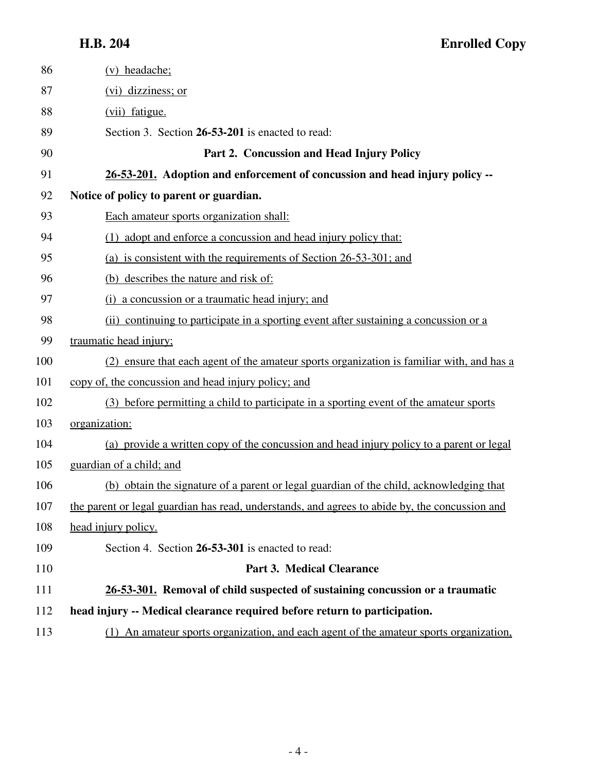| 86  | (v) headache;                                                                                  |
|-----|------------------------------------------------------------------------------------------------|
| 87  | (vi) dizziness; or                                                                             |
| 88  | (vii) fatigue.                                                                                 |
| 89  | Section 3. Section 26-53-201 is enacted to read:                                               |
| 90  | Part 2. Concussion and Head Injury Policy                                                      |
| 91  | 26-53-201. Adoption and enforcement of concussion and head injury policy --                    |
| 92  | Notice of policy to parent or guardian.                                                        |
| 93  | Each amateur sports organization shall:                                                        |
| 94  | (1) adopt and enforce a concussion and head injury policy that:                                |
| 95  | (a) is consistent with the requirements of Section 26-53-301; and                              |
| 96  | (b) describes the nature and risk of:                                                          |
| 97  | (i) a concussion or a traumatic head injury; and                                               |
| 98  | (ii) continuing to participate in a sporting event after sustaining a concussion or a          |
| 99  | traumatic head injury;                                                                         |
| 100 | (2) ensure that each agent of the amateur sports organization is familiar with, and has a      |
| 101 | copy of, the concussion and head injury policy; and                                            |
| 102 | (3) before permitting a child to participate in a sporting event of the amateur sports         |
| 103 | organization:                                                                                  |
| 104 | (a) provide a written copy of the concussion and head injury policy to a parent or legal       |
| 105 | guardian of a child; and                                                                       |
| 106 | (b) obtain the signature of a parent or legal guardian of the child, acknowledging that        |
| 107 | the parent or legal guardian has read, understands, and agrees to abide by, the concussion and |
| 108 | head injury policy.                                                                            |
| 109 | Section 4. Section 26-53-301 is enacted to read:                                               |
| 110 | <b>Part 3. Medical Clearance</b>                                                               |
| 111 | 26-53-301. Removal of child suspected of sustaining concussion or a traumatic                  |
| 112 | head injury -- Medical clearance required before return to participation.                      |
| 113 | (1) An amateur sports organization, and each agent of the amateur sports organization,         |